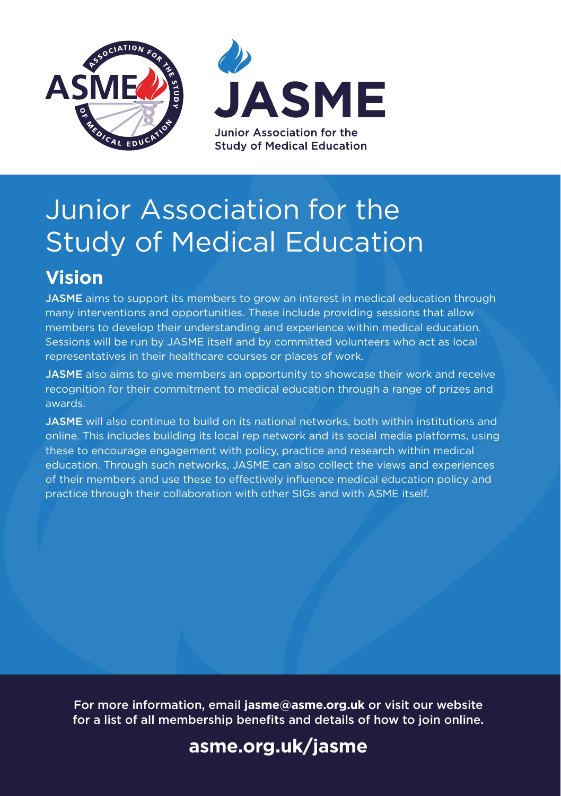

# Junior Association for the Study of Medical Education

# **Vision**

JASME aims to support its members to grow an interest in medical education through many interventions and opportunities. These include providing sessions that allow members to develop their understanding and experience within medical education. Sessions will be run by JASME itself and by committed volunteers who act as local representatives in their healthcare courses or places of work.

**JASME** also aims to give members an opportunity to showcase their work and receive recognition for their commitment to medical education through a range of prizes and awards.

JASME will also continue to build on its national networks, both within institutions and online. This includes building its local rep network and its social media platforms, using these to encourage engagement with policy, practice and research within medical education. Through such networks, JASME can also collect the views and experiences of their members and use these to effectively influence medical education policy and practice through their collaboration with other SIGs and with ASME itself.

For more information, email **jasme@asme.org.uk** or visit our website for a list of all membership benefits and details of how to join online.

## **[asme.org.uk/jasme](www.asme.org.uk/jasme)**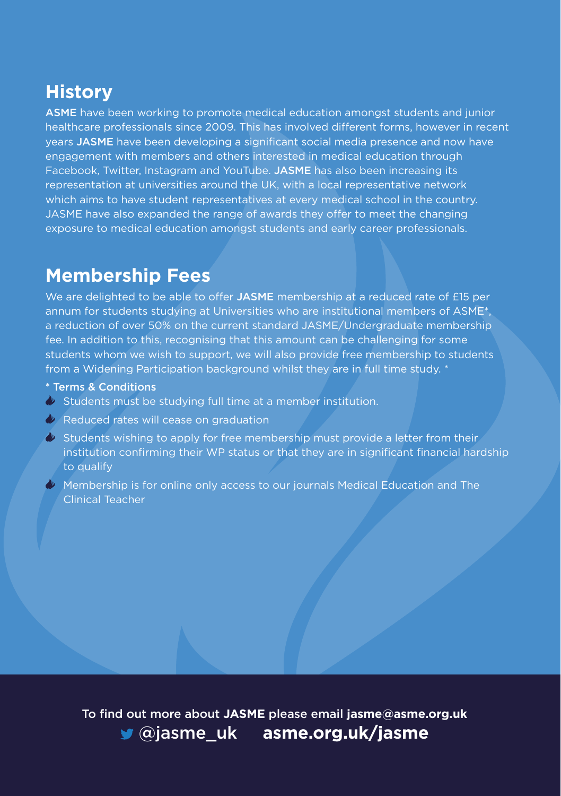### **History**

ASME have been working to promote medical education amongst students and junior healthcare professionals since 2009. This has involved different forms, however in recent years JASME have been developing a significant social media presence and now have engagement with members and others interested in medical education through Facebook, Twitter, Instagram and YouTube. JASME has also been increasing its representation at universities around the UK, with a local representative network which aims to have student representatives at every medical school in the country. JASME have also expanded the range of awards they offer to meet the changing exposure to medical education amongst students and early career professionals.

### **Membership Fees**

We are delighted to be able to offer JASME membership at a reduced rate of £15 per annum for students studying at Universities who are institutional members of ASME\*, a reduction of over 50% on the current standard JASME/Undergraduate membership fee. In addition to this, recognising that this amount can be challenging for some students whom we wish to support, we will also provide free membership to students from a Widening Participation background whilst they are in full time study. \*

- \* Terms & Conditions
- $\bullet$  Students must be studying full time at a member institution.
- Reduced rates will cease on graduation
- $\bullet$  Students wishing to apply for free membership must provide a letter from their institution confirming their WP status or that they are in significant financial hardship to qualify
- $\bullet$  Membership is for online only access to our journals Medical Education and The Clinical Teacher

To find out more about **JASME** please email **jasme@asme.org.uk**  [@jasme\\_uk](https://twitter.com/jasme_uk?lang=en) **[asme.org.uk/jasme](www.asme.org.uk/jasme)**